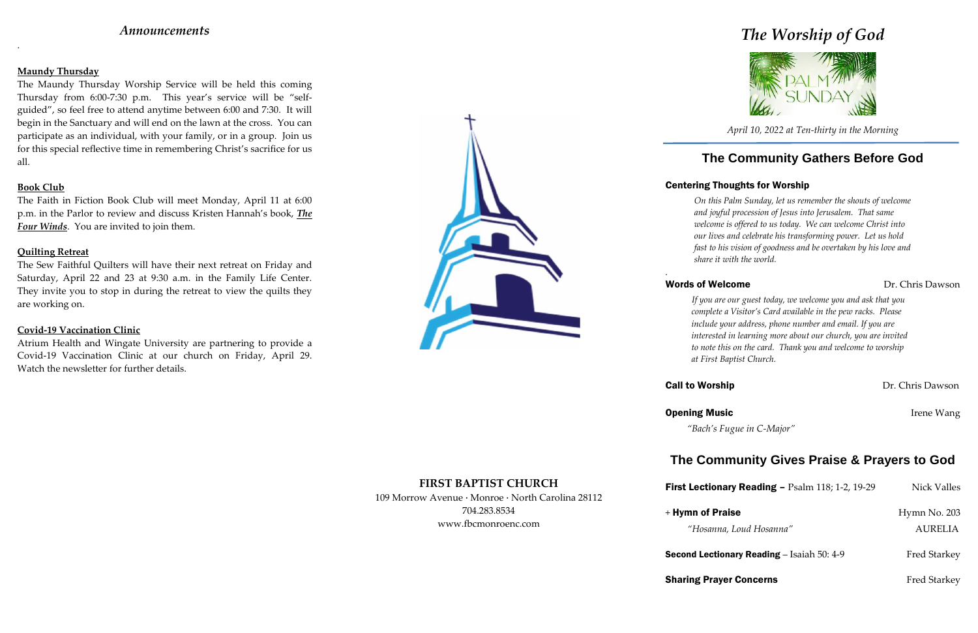# *Announcements*

.

### **Maundy Thursday**

The Maundy Thursday Worship Service will be held this coming Thursday from 6:00-7:30 p.m. This year's service will be "self guided", so feel free to attend anytime between 6:00 and 7:30. It will begin in the Sanctuary and will end on the lawn at the cross. You can participate as an individual, with your family, or in a group. Join us for this special reflective time in remembering Christ's sacrifice for us all.

### **Book Club**

The Faith in Fiction Book Club will meet Monday, April 11 at 6:00 p.m. in the Parlor to review and discuss Kristen Hannah's book, *The Four Winds*. You are invited to join them.

### **Quilting Retreat**

The Sew Faithful Quilters will have their next retreat on Friday and Saturday, April 22 and 23 at 9:30 a.m. in the Family Life Center. They invite you to stop in during the retreat to view the quilts they are working on.

### **Covid-19 Vaccination Clinic**

Atrium Health and Wingate University are partnering to provide a Covid-19 Vaccination Clinic at our church on Friday, April 29. Watch the newsletter for further details.



**FIRST BAPTIST CHURCH**

**Sharing Prayer Concerns** Fred Starkey

| <b>First Lectionary Reading - Psalm 118; 1-2, 19-29</b> | Nick Valles         |
|---------------------------------------------------------|---------------------|
| + Hymn of Praise                                        | Hymn No. 203        |
| "Hosanna, Loud Hosanna"                                 | <b>AURELIA</b>      |
| <b>Second Lectionary Reading – Isaiah 50: 4-9</b>       | <b>Fred Starkey</b> |

## Words of Welcome Dr. Chris Dawson

**Call to Worship Dr. Chris Dawson** 

109 Morrow Avenue · Monroe · North Carolina 28112 704.283.8534 www.fbcmonroenc.com

*The Worship of God*



*April 10, 2022 at Ten-thirty in the Morning*

# **The Community Gathers Before God**

# Centering Thoughts for Worship

*On this Palm Sunday, let us remember the shouts of welcome and joyful procession of Jesus into Jerusalem. That same welcome is offered to us today. We can welcome Christ into our lives and celebrate his transforming power. Let us hold fast to his vision of goodness and be overtaken by his love and share it with the world.*

*.*

**Opening Music Community Community Community Community Community Community Community Community Community Community Community Community Community Community Community Community Community Community Community Community Communi** 

*If you are our guest today, we welcome you and ask that you complete a Visitor's Card available in the pew racks. Please include your address, phone number and email. If you are interested in learning more about our church, you are invited to note this on the card. Thank you and welcome to worship at First Baptist Church.*

*"Bach's Fugue in C-Major"*

# **The Community Gives Praise & Prayers to God**

# **First Lection**